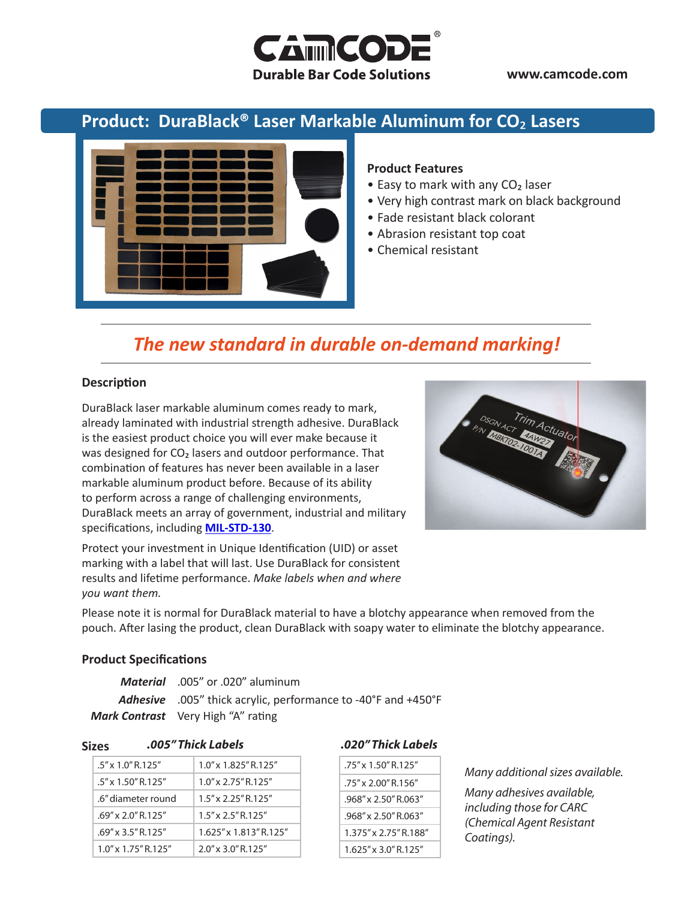

**www.camcode.com**

## **Product: DuraBlack® Laser Markable Aluminum for CO**₂ **Lasers**



#### **Product Features**

- Easy to mark with any CO<sub>2</sub> laser
- Very high contrast mark on black background
- Fade resistant black colorant
- Abrasion resistant top coat
- Chemical resistant

# *The new standard in durable on-demand marking!*

#### **Description**

DuraBlack laser markable aluminum comes ready to mark, already laminated with industrial strength adhesive. DuraBlack is the easiest product choice you will ever make because it was designed for CO<sub>2</sub> lasers and outdoor performance. That combination of features has never been available in a laser markable aluminum product before. Because of its ability to perform across a range of challenging environments, DuraBlack meets an array of government, industrial and military specifications, including **[MIL-STD-130](http://www.camcode.com/mil-std-130.html)**.



Protect your investment in Unique Identification (UID) or asset marking with a label that will last. Use DuraBlack for consistent results and lifetime performance. *Make labels when and where you want them.*

Please note it is normal for DuraBlack material to have a blotchy appearance when removed from the pouch. After lasing the product, clean DuraBlack with soapy water to eliminate the blotchy appearance.

#### **Product Specifications**

| Material .005" or .020" aluminum                                     |
|----------------------------------------------------------------------|
| <b>Adhesive</b> .005" thick acrylic, performance to -40°F and +450°F |
| Mark Contrast Very High "A" rating                                   |

**Sizes**

| $.5'' \times 1.0''$ R.125"   | $1.0''$ x $1.825''$ R $125''$ |  |
|------------------------------|-------------------------------|--|
| $.5'' \times 1.50''$ R 125"  | $1.0'' \times 2.75''$ R.125"  |  |
| .6" diameter round           | $1.5'' \times 2.25''$ R.125"  |  |
| $.69'' \times 2.0''$ R.125"  | $1.5'' \times 2.5''$ R.125"   |  |
| $.69'' \times 3.5''$ R.125"  | 1.625" x 1.813" R.125"        |  |
| $1.0'' \times 1.75''$ R.125" | $2.0'' \times 3.0''$ R.125"   |  |

#### *.005" Thick Labels .020" Thick Labels*

| $.75'' \times 1.50''$ R.125"  |  |  |
|-------------------------------|--|--|
| $.75''$ x 2.00" R.156"        |  |  |
| $.968'' \times 2.50''$ R.063" |  |  |
| 968" x 2 50" R 063"           |  |  |
| 1 375" x 2 75" R 188"         |  |  |
| 1.625" x 3.0" R.125"          |  |  |

#### *Many additional sizes available.*

*Many adhesives available, including those for CARC (Chemical Agent Resistant Coatings).*